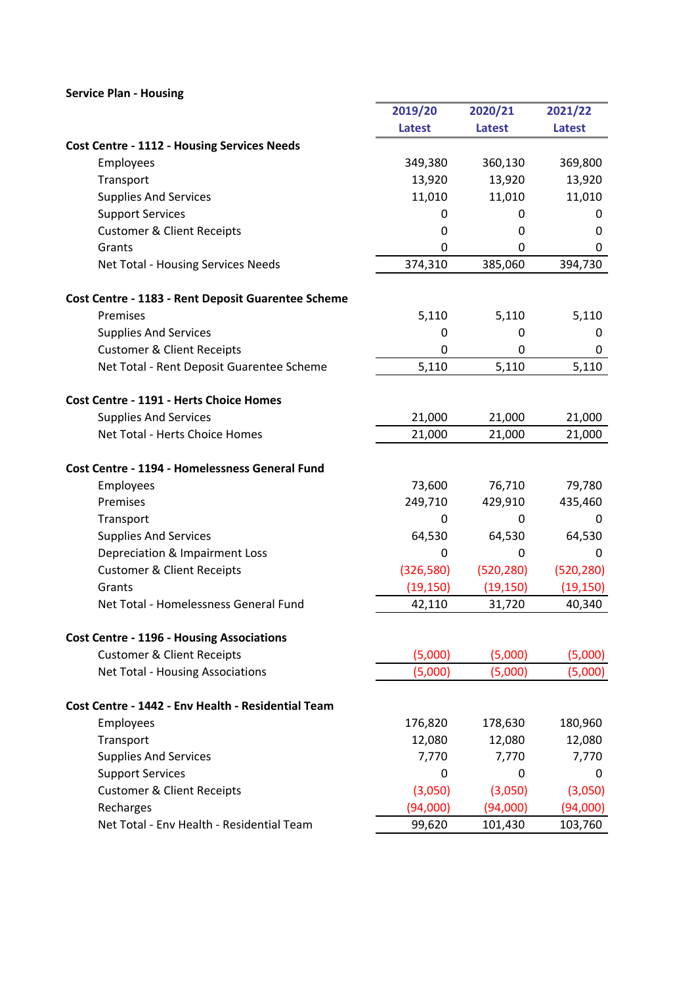## Service Plan - Housing

|                                                    | 2019/20       | 2020/21       | 2021/22       |
|----------------------------------------------------|---------------|---------------|---------------|
|                                                    | <b>Latest</b> | <b>Latest</b> | <b>Latest</b> |
| <b>Cost Centre - 1112 - Housing Services Needs</b> |               |               |               |
| Employees                                          | 349,380       | 360,130       | 369,800       |
| Transport                                          | 13,920        | 13,920        | 13,920        |
| <b>Supplies And Services</b>                       | 11,010        | 11,010        | 11,010        |
| <b>Support Services</b>                            | 0             | 0             | 0             |
| <b>Customer &amp; Client Receipts</b>              | 0             | 0             | 0             |
| Grants                                             | 0             | 0             | 0             |
| Net Total - Housing Services Needs                 | 374,310       | 385,060       | 394,730       |
| Cost Centre - 1183 - Rent Deposit Guarentee Scheme |               |               |               |
| Premises                                           | 5,110         | 5,110         | 5,110         |
| <b>Supplies And Services</b>                       | 0             | 0             | 0             |
| <b>Customer &amp; Client Receipts</b>              | 0             | 0             | 0             |
| Net Total - Rent Deposit Guarentee Scheme          | 5,110         | 5,110         | 5,110         |
| Cost Centre - 1191 - Herts Choice Homes            |               |               |               |
| <b>Supplies And Services</b>                       | 21,000        | 21,000        | 21,000        |
| Net Total - Herts Choice Homes                     | 21,000        | 21,000        | 21,000        |
| Cost Centre - 1194 - Homelessness General Fund     |               |               |               |
| Employees                                          | 73,600        | 76,710        | 79,780        |
| Premises                                           | 249,710       | 429,910       | 435,460       |
| Transport                                          | 0             | $\Omega$      | 0             |
| <b>Supplies And Services</b>                       | 64,530        | 64,530        | 64,530        |
| Depreciation & Impairment Loss                     | 0             | 0             | 0             |
| <b>Customer &amp; Client Receipts</b>              | (326,580)     | (520, 280)    | (520, 280)    |
| Grants                                             | (19, 150)     | (19, 150)     | (19, 150)     |
| Net Total - Homelessness General Fund              | 42,110        | 31,720        | 40,340        |
| <b>Cost Centre - 1196 - Housing Associations</b>   |               |               |               |
| <b>Customer &amp; Client Receipts</b>              | (5,000)       | (5,000)       | (5,000)       |
| Net Total - Housing Associations                   | (5,000)       | (5,000)       | (5,000)       |
| Cost Centre - 1442 - Env Health - Residential Team |               |               |               |
| Employees                                          | 176,820       | 178,630       | 180,960       |
| Transport                                          | 12,080        | 12,080        | 12,080        |
| <b>Supplies And Services</b>                       | 7,770         | 7,770         | 7,770         |
| <b>Support Services</b>                            | 0             | 0             | 0             |
| <b>Customer &amp; Client Receipts</b>              | (3,050)       | (3,050)       | (3,050)       |
| Recharges                                          | (94,000)      | (94,000)      | (94,000)      |
| Net Total - Env Health - Residential Team          | 99,620        | 101,430       | 103,760       |